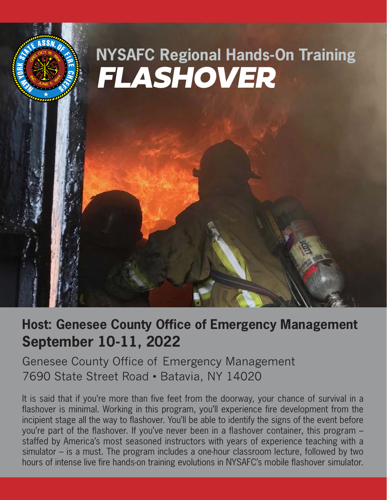

# **Host: Genesee County Office of Emergency Management September 10-11, 2022**

Genesee County Office of Emergency Management 7690 State Street Road • Batavia, NY 14020

It is said that if you're more than five feet from the doorway, your chance of survival in a flashover is minimal. Working in this program, you'll experience fire development from the incipient stage all the way to flashover. You'll be able to identify the signs of the event before you're part of the flashover. If you've never been in a flashover container, this program – staffed by America's most seasoned instructors with years of experience teaching with a simulator – is a must. The program includes a one-hour classroom lecture, followed by two hours of intense live fire hands-on training evolutions in NYSAFC's mobile flashover simulator.